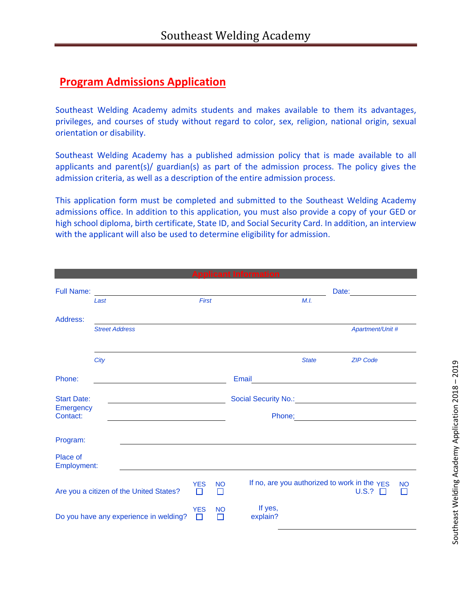## **Program Admissions Application**

Southeast Welding Academy admits students and makes available to them its advantages, privileges, and courses of study without regard to color, sex, religion, national origin, sexual orientation or disability.

Southeast Welding Academy has a published admission policy that is made available to all applicants and parent(s)/ guardian(s) as part of the admission process. The policy gives the admission criteria, as well as a description of the entire admission process.

This application form must be completed and submitted to the Southeast Welding Academy admissions office. In addition to this application, you must also provide a copy of your GED or high school diploma, birth certificate, State ID, and Social Security Card. In addition, an interview with the applicant will also be used to determine eligibility for admission.

| <b>Applicant Information</b>            |                       |  |                 |                |                     |              |                                                                                                                                                                                                                                |           |  |  |  |
|-----------------------------------------|-----------------------|--|-----------------|----------------|---------------------|--------------|--------------------------------------------------------------------------------------------------------------------------------------------------------------------------------------------------------------------------------|-----------|--|--|--|
| <b>Full Name:</b>                       | Last                  |  | First           |                |                     | M.I.         | Date: the contract of the contract of the contract of the contract of the contract of the contract of the contract of the contract of the contract of the contract of the contract of the contract of the contract of the cont |           |  |  |  |
| Address:                                |                       |  |                 |                |                     |              |                                                                                                                                                                                                                                |           |  |  |  |
|                                         | <b>Street Address</b> |  |                 |                |                     |              | Apartment/Unit #                                                                                                                                                                                                               |           |  |  |  |
|                                         | City                  |  |                 |                |                     | <b>State</b> | <b>ZIP Code</b>                                                                                                                                                                                                                |           |  |  |  |
| Phone:                                  |                       |  |                 |                | Email               |              |                                                                                                                                                                                                                                |           |  |  |  |
| <b>Start Date:</b><br>Emergency         |                       |  |                 |                |                     |              |                                                                                                                                                                                                                                |           |  |  |  |
| Contact:                                |                       |  |                 |                |                     |              | Phone; Phone and Phone and Phone and Phone and Phone and Phone and Phone and Phone and Phone and Phone and Phone and Phone and Phone and Phone and Phone and Phone and Phone and Phone and Phone and Phone and Phone and Phone |           |  |  |  |
| Program:                                |                       |  |                 |                |                     |              |                                                                                                                                                                                                                                |           |  |  |  |
| Place of<br>Employment:                 |                       |  |                 |                |                     |              |                                                                                                                                                                                                                                |           |  |  |  |
| Are you a citizen of the United States? |                       |  | <b>YES</b><br>П | <b>NO</b><br>П |                     |              | If no, are you authorized to work in the YES<br>U.S.?                                                                                                                                                                          | <b>NO</b> |  |  |  |
| Do you have any experience in welding?  |                       |  | <b>YES</b>      | <b>NO</b><br>П | If yes,<br>explain? |              |                                                                                                                                                                                                                                |           |  |  |  |